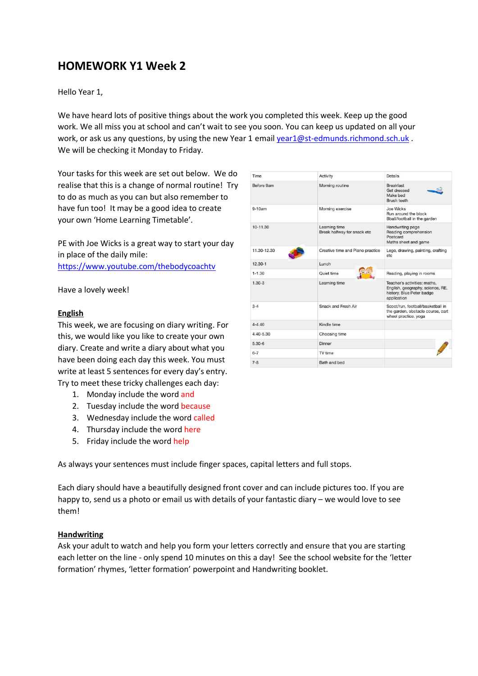# **HOMEWORK Y1 Week 2**

Hello Year 1,

We have heard lots of positive things about the work you completed this week. Keep up the good work. We all miss you at school and can't wait to see you soon. You can keep us updated on all your work, or ask us any questions, by using the new Year 1 emai[l year1@st-edmunds.richmond.sch.uk](mailto:year1@st-edmunds.richmond.sch.uk) . We will be checking it Monday to Friday.

Your tasks for this week are set out below. We do realise that this is a change of normal routine! Try to do as much as you can but also remember to have fun too! It may be a good idea to create your own 'Home Learning Timetable'.

PE with Joe Wicks is a great way to start your day in place of the daily mile: <https://www.youtube.com/thebodycoachtv>

Have a lovely week!

#### **English**

This week, we are focusing on diary writing. For this, we would like you like to create your own diary. Create and write a diary about what you have been doing each day this week. You must write at least 5 sentences for every day's entry. Try to meet these tricky challenges each day:

- 1. Monday include the word and
- 2. Tuesday include the word because
- 3. Wednesday include the word called
- 4. Thursday include the word here
- 5. Friday include the word help

As always your sentences must include finger spaces, capital letters and full stops.

Each diary should have a beautifully designed front cover and can include pictures too. If you are happy to, send us a photo or email us with details of your fantastic diary – we would love to see them!

#### **Handwriting**

Ask your adult to watch and help you form your letters correctly and ensure that you are starting each letter on the line - only spend 10 minutes on this a day! See the school website for the 'letter formation' rhymes, 'letter formation' powerpoint and Handwriting booklet.

| Time        | Activity                                     | <b>Details</b>                                                                                               |
|-------------|----------------------------------------------|--------------------------------------------------------------------------------------------------------------|
| Before 9am  | Morning routine                              | <b>Breakfast</b><br>Get dressed<br>Make bed<br>Brush teeth                                                   |
| $9-10am$    | Morning exercise                             | Joe Wicks<br>Run around the block<br>Bball/football in the garden                                            |
| 10-11.30    | Learning time<br>Break halfway for snack etc | Handwriting page<br>Reading comprehension<br>Postcard<br>Maths sheet and game                                |
| 11 30-12 30 | Creative time and Piano practice             | Lego, drawing, painting, crafting<br>etc                                                                     |
| $12.30 - 1$ | Lunch                                        |                                                                                                              |
| $1 - 1.30$  | Quiet time                                   | Reading, playing in rooms                                                                                    |
| $1.30 - 3$  | Learning time                                | Teacher's activities: maths,<br>English, geography, science, RE.<br>history, Blue Peter badge<br>application |
| $3 - 4$     | Snack and Fresh Air                          | Scoot/run, football/basketball in<br>the garden, obstacle course, cart<br>wheel practice, yoga               |
| $4 - 4.40$  | Kindle time                                  |                                                                                                              |
| 4.40-5.30   | Choosing time                                |                                                                                                              |
| $5.30 - 6$  | <b>Dinner</b>                                |                                                                                                              |
| $6 - 7$     | TV time                                      |                                                                                                              |
| $7 - 8$     | Bath and bed                                 |                                                                                                              |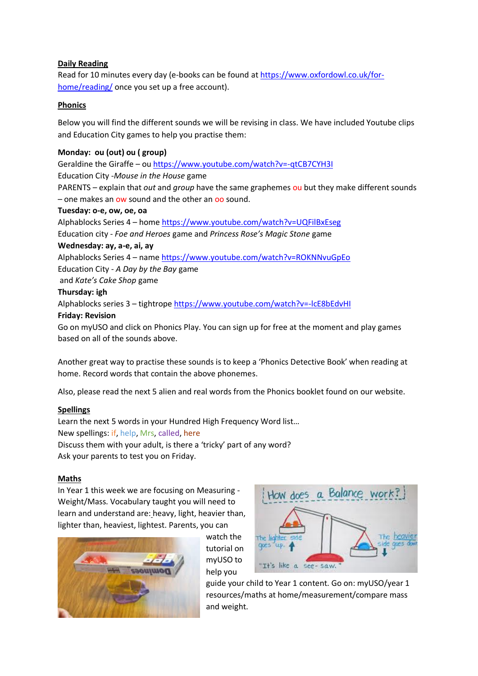## **Daily Reading**

Read for 10 minutes every day (e-books can be found a[t https://www.oxfordowl.co.uk/for](https://www.oxfordowl.co.uk/for-home/reading/)[home/reading/](https://www.oxfordowl.co.uk/for-home/reading/) once you set up a free account).

## **Phonics**

Below you will find the different sounds we will be revising in class. We have included Youtube clips and Education City games to help you practise them:

# **Monday: ou (out) ou ( group)**

Geraldine the Giraffe – ou<https://www.youtube.com/watch?v=-qtCB7CYH3I> Education City -*Mouse in the House* game PARENTS – explain that *out* and *group* have the same graphemes ou but they make different sounds – one makes an ow sound and the other an oo sound.

## **Tuesday: o-e, ow, oe, oa**

Alphablocks Series 4 – home<https://www.youtube.com/watch?v=UQFilBxEseg> Education city - *Foe and Heroes* game and *Princess Rose's Magic Stone* game **Wednesday: ay, a-e, ai, ay** Alphablocks Series 4 – name<https://www.youtube.com/watch?v=ROKNNvuGpEo> Education City - *A Day by the Bay* game and *Kate's Cake Shop* game

## **Thursday: igh**

Alphablocks series 3 – tightrope<https://www.youtube.com/watch?v=-lcE8bEdvHI>

## **Friday: Revision**

Go on myUSO and click on Phonics Play. You can sign up for free at the moment and play games based on all of the sounds above.

Another great way to practise these sounds is to keep a 'Phonics Detective Book' when reading at home. Record words that contain the above phonemes.

Also, please read the next 5 alien and real words from the Phonics booklet found on our website.

# **Spellings**

Learn the next 5 words in your Hundred High Frequency Word list… New spellings: if, help, Mrs, called, here Discuss them with your adult, is there a 'tricky' part of any word? Ask your parents to test you on Friday.

#### **Maths**

In Year 1 this week we are focusing on Measuring - Weight/Mass. Vocabulary taught you will need to learn and understand are: heavy, light, heavier than, lighter than, heaviest, lightest. Parents, you can



watch the tutorial on myUSO to help you



guide your child to Year 1 content. Go on: myUSO/year 1 resources/maths at home/measurement/compare mass and weight.